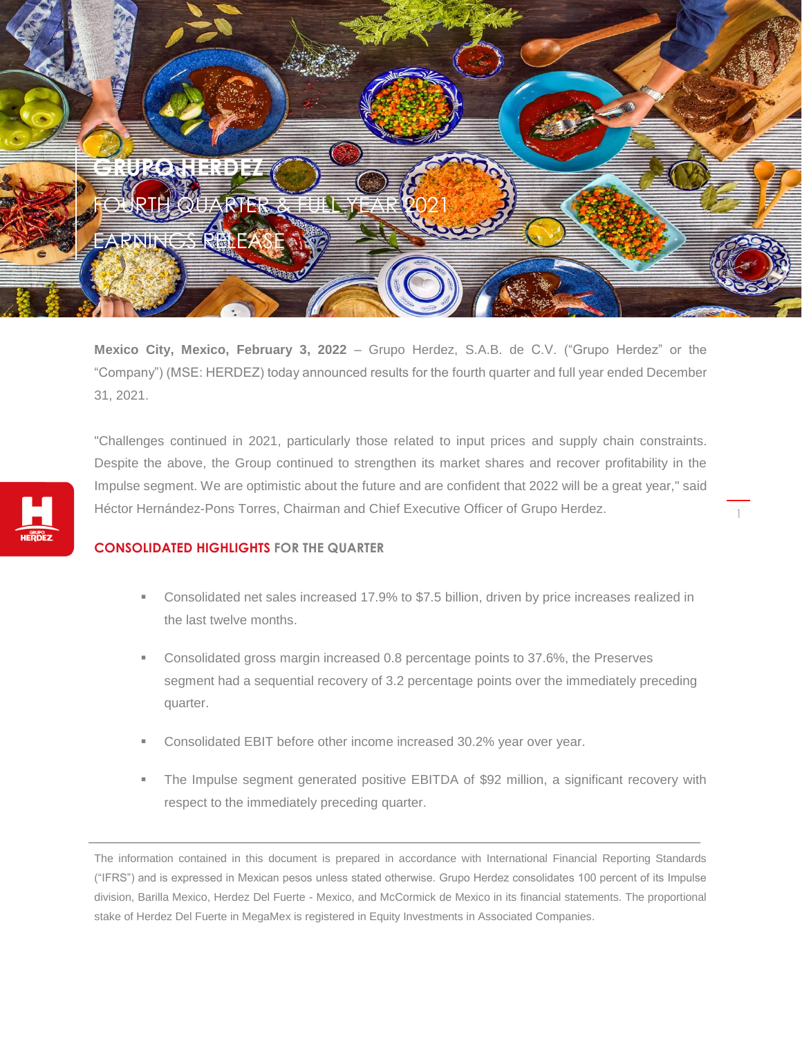

**Mexico City, Mexico, February 3, 2022** – Grupo Herdez, S.A.B. de C.V. ("Grupo Herdez" or the "Company") (MSE: HERDEZ) today announced results for the fourth quarter and full year ended December 31, 2021.

"Challenges continued in 2021, particularly those related to input prices and supply chain constraints. Despite the above, the Group continued to strengthen its market shares and recover profitability in the Impulse segment. We are optimistic about the future and are confident that 2022 will be a great year," said Héctor Hernández-Pons Torres, Chairman and Chief Executive Officer of Grupo Herdez.

# **CONSOLIDATED HIGHLIGHTS FOR THE QUARTER**

 Consolidated net sales increased 17.9% to \$7.5 billion, driven by price increases realized in the last twelve months.

1

- Consolidated gross margin increased 0.8 percentage points to 37.6%, the Preserves segment had a sequential recovery of 3.2 percentage points over the immediately preceding quarter.
- Consolidated EBIT before other income increased 30.2% year over year.
- The Impulse segment generated positive EBITDA of \$92 million, a significant recovery with respect to the immediately preceding quarter.

The information contained in this document is prepared in accordance with International Financial Reporting Standards ("IFRS") and is expressed in Mexican pesos unless stated otherwise. Grupo Herdez consolidates 100 percent of its Impulse division, Barilla Mexico, Herdez Del Fuerte - Mexico, and McCormick de Mexico in its financial statements. The proportional stake of Herdez Del Fuerte in MegaMex is registered in Equity Investments in Associated Companies.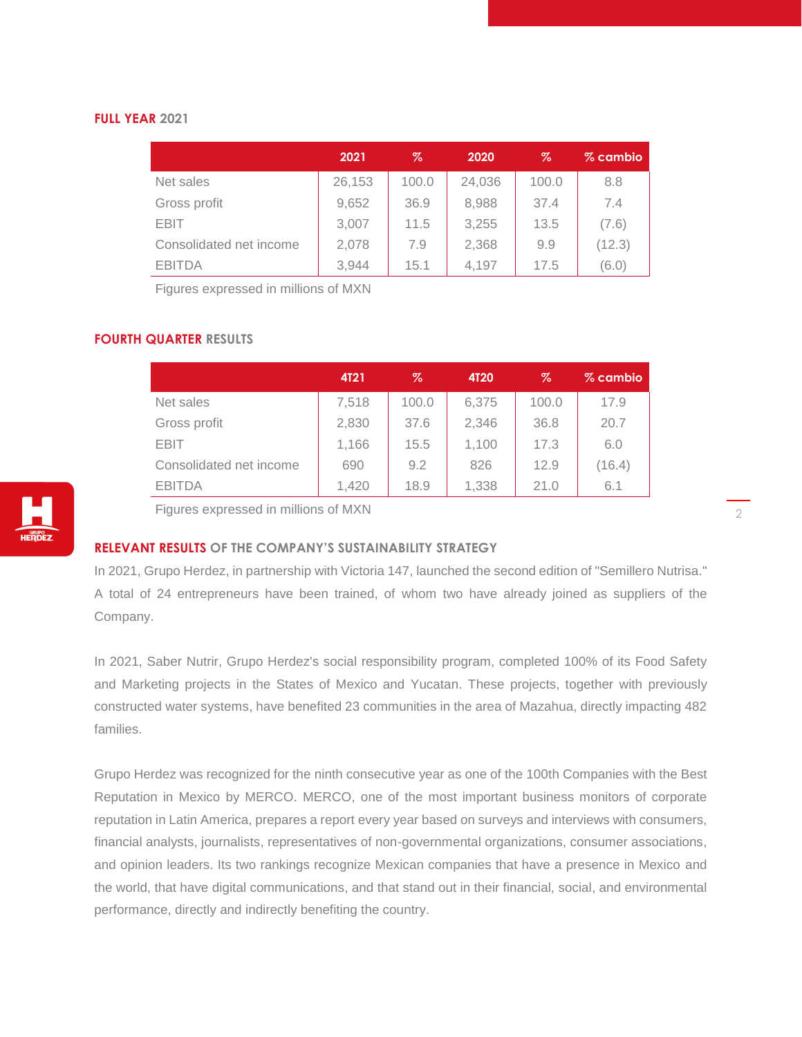## **FULL YEAR 2021**

|                         | 2021   | %     | 2020   | %     | % cambio |
|-------------------------|--------|-------|--------|-------|----------|
| Net sales               | 26,153 | 100.0 | 24,036 | 100.0 | 8.8      |
| Gross profit            | 9,652  | 36.9  | 8,988  | 37.4  | 7.4      |
| <b>EBIT</b>             | 3,007  | 11.5  | 3,255  | 13.5  | (7.6)    |
| Consolidated net income | 2,078  | 7.9   | 2,368  | 9.9   | (12.3)   |
| <b>EBITDA</b>           | 3,944  | 15.1  | 4,197  | 17.5  | (6.0)    |

Figures expressed in millions of MXN

### **FOURTH QUARTER RESULTS**

|                         | <b>4T21</b> | %     | <b>4T20</b> | Z     | % cambio |
|-------------------------|-------------|-------|-------------|-------|----------|
| Net sales               | 7,518       | 100.0 | 6,375       | 100.0 | 17.9     |
| Gross profit            | 2,830       | 37.6  | 2,346       | 36.8  | 20.7     |
| <b>EBIT</b>             | 1,166       | 15.5  | 1,100       | 17.3  | 6.0      |
| Consolidated net income | 690         | 9.2   | 826         | 12.9  | (16.4)   |
| <b>EBITDA</b>           | 1.420       | 18.9  | 1,338       | 21.0  | 6.1      |



### **RELEVANT RESULTS OF THE COMPANY'S SUSTAINABILITY STRATEGY**

In 2021, Grupo Herdez, in partnership with Victoria 147, launched the second edition of "Semillero Nutrisa." A total of 24 entrepreneurs have been trained, of whom two have already joined as suppliers of the Company.

In 2021, Saber Nutrir, Grupo Herdez's social responsibility program, completed 100% of its Food Safety and Marketing projects in the States of Mexico and Yucatan. These projects, together with previously constructed water systems, have benefited 23 communities in the area of Mazahua, directly impacting 482 families.

Grupo Herdez was recognized for the ninth consecutive year as one of the 100th Companies with the Best Reputation in Mexico by MERCO. MERCO, one of the most important business monitors of corporate reputation in Latin America, prepares a report every year based on surveys and interviews with consumers, financial analysts, journalists, representatives of non-governmental organizations, consumer associations, and opinion leaders. Its two rankings recognize Mexican companies that have a presence in Mexico and the world, that have digital communications, and that stand out in their financial, social, and environmental performance, directly and indirectly benefiting the country.